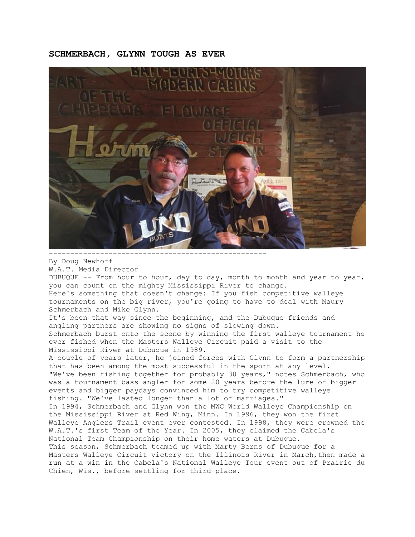## **SCHMERBACH, GLYNN TOUGH AS EVER**



---------------------------------------------------

By Doug Newhoff

W.A.T. Media Director

DUBUQUE -- From hour to hour, day to day, month to month and year to year, you can count on the mighty Mississippi River to change. Here's something that doesn't change: If you fish competitive walleye tournaments on the big river, you're going to have to deal with Maury Schmerbach and Mike Glynn.

It's been that way since the beginning, and the Dubuque friends and angling partners are showing no signs of slowing down. Schmerbach burst onto the scene by winning the first walleye tournament he ever fished when the Masters Walleye Circuit paid a visit to the Mississippi River at Dubuque in 1989.

A couple of years later, he joined forces with Glynn to form a partnership that has been among the most successful in the sport at any level. "We've been fishing together for probably 30 years," notes Schmerbach, who was a tournament bass angler for some 20 years before the lure of bigger events and bigger paydays convinced him to try competitive walleye fishing. "We've lasted longer than a lot of marriages." In 1994, Schmerbach and Glynn won the MWC World Walleye Championship on the Mississippi River at Red Wing, Minn. In 1996, they won the first Walleye Anglers Trail event ever contested. In 1998, they were crowned the W.A.T.'s first Team of the Year. In 2005, they claimed the Cabela's National Team Championship on their home waters at Dubuque. This season, Schmerbach teamed up with Marty Berns of Dubuque for a Masters Walleye Circuit victory on the Illinois River in March, then made a run at a win in the Cabela's National Walleye Tour event out of Prairie du Chien, Wis., before settling for third place.